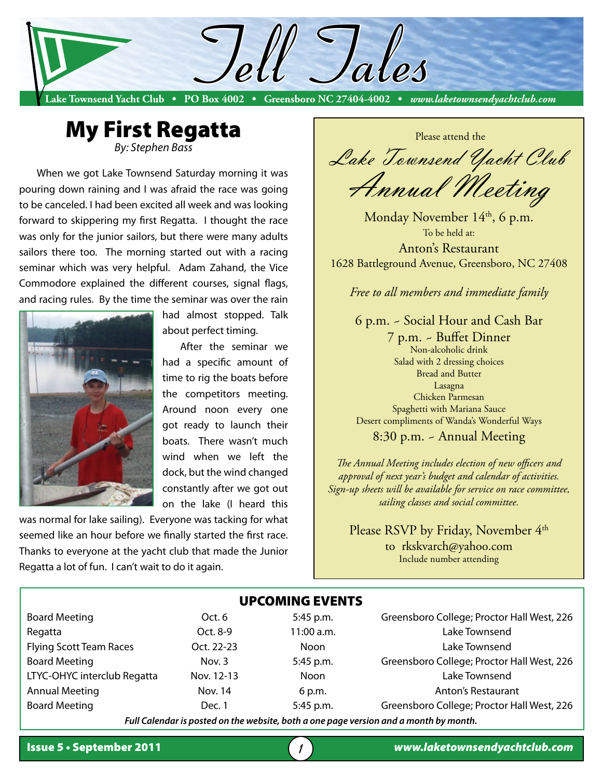



When we got Lake Townsend Saturday morning it was pouring down raining and I was afraid the race was going to be canceled. I had been excited all week and was looking forward to skippering my first Regatta. I thought the race was only for the junior sailors, but there were many adults sailors there too. The morning started out with a racing seminar which was very helpful. Adam Zahand, the Vice Commodore explained the different courses, signal flags, and racing rules. By the time the seminar was over the rain



had almost stopped. Talk about perfect timing.

After the seminar we had a specific amount of time to rig the boats before the competitors meeting. Around noon every one got ready to launch their boats. There wasn't much wind when we left the dock, but the wind changed constantly after we got out on the lake (I heard this

was normal for lake sailing). Everyone was tacking for what seemed like an hour before we finally started the first race. Thanks to everyone at the yacht club that made the Junior Regatta a lot of fun. I can't wait to do it again.

 Please attend the Lake Townsend Yacht Club Annual Meeting

Monday November 14<sup>th</sup>, 6 p.m. To be held at: Anton's Restaurant

1628 Battleground Avenue, Greensboro, NC 27408

*Free to all members and immediate family* 

6 p.m. ~ Social Hour and Cash Bar

7 p.m. ~ Buffet Dinner Non-alcoholic drink Salad with 2 dressing choices Bread and Butter Lasagna Chicken Parmesan Spaghetti with Mariana Sauce Desert compliments of Wanda's Wonderful Ways

8:30 p.m. ~ Annual Meeting

*The Annual Meeting includes election of new officers and approval of next year's budget and calendar of activities. Sign-up sheets will be available for service on race committee, sailing classes and social committee.*

Please RSVP by Friday, November 4<sup>th</sup> to rkskvarch@yahoo.com Include number attending

|                                |            | <b>UPCOMING EVENTS</b> |                                            |
|--------------------------------|------------|------------------------|--------------------------------------------|
| <b>Board Meeting</b>           | Oct. 6     | 5:45 p.m.              | Greensboro College; Proctor Hall West, 226 |
| Regatta                        | Oct. 8-9   | 11:00 a.m.             | Lake Townsend                              |
| <b>Flying Scott Team Races</b> | Oct. 22-23 | <b>Noon</b>            | Lake Townsend                              |
| <b>Board Meeting</b>           | Nov. $3$   | 5:45 p.m.              | Greensboro College; Proctor Hall West, 226 |
| LTYC-OHYC interclub Regatta    | Nov. 12-13 | <b>Noon</b>            | Lake Townsend                              |
| <b>Annual Meeting</b>          | Nov. 14    | 6 p.m.                 | <b>Anton's Restaurant</b>                  |
| <b>Board Meeting</b>           | Dec. 1     | 5:45 p.m.              | Greensboro College; Proctor Hall West, 226 |
|                                | .          |                        |                                            |

*Full Calendar is posted on the website, both a one page version and a month by month.*

1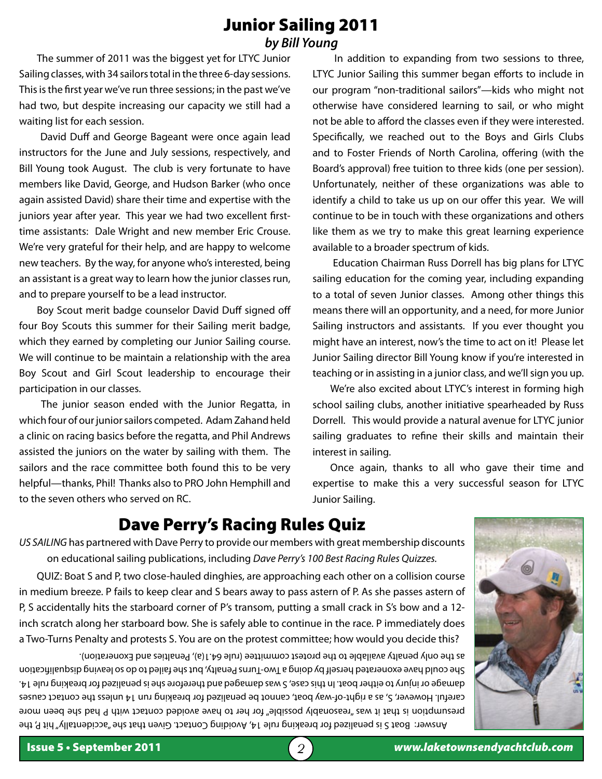### Junior Sailing 2011 *by Bill Young*

The summer of 2011 was the biggest yet for LTYC Junior Sailing classes, with 34 sailors total in the three 6-day sessions. This is the first year we've run three sessions; in the past we've had two, but despite increasing our capacity we still had a waiting list for each session.

 David Duff and George Bageant were once again lead instructors for the June and July sessions, respectively, and Bill Young took August. The club is very fortunate to have members like David, George, and Hudson Barker (who once again assisted David) share their time and expertise with the juniors year after year. This year we had two excellent firsttime assistants: Dale Wright and new member Eric Crouse. We're very grateful for their help, and are happy to welcome new teachers. By the way, for anyone who's interested, being an assistant is a great way to learn how the junior classes run, and to prepare yourself to be a lead instructor.

Boy Scout merit badge counselor David Duff signed off four Boy Scouts this summer for their Sailing merit badge, which they earned by completing our Junior Sailing course. We will continue to be maintain a relationship with the area Boy Scout and Girl Scout leadership to encourage their participation in our classes.

 The junior season ended with the Junior Regatta, in which four of our junior sailors competed. Adam Zahand held a clinic on racing basics before the regatta, and Phil Andrews assisted the juniors on the water by sailing with them. The sailors and the race committee both found this to be very helpful—thanks, Phil! Thanks also to PRO John Hemphill and to the seven others who served on RC.

 In addition to expanding from two sessions to three, LTYC Junior Sailing this summer began efforts to include in our program "non-traditional sailors"—kids who might not otherwise have considered learning to sail, or who might not be able to afford the classes even if they were interested. Specifically, we reached out to the Boys and Girls Clubs and to Foster Friends of North Carolina, offering (with the Board's approval) free tuition to three kids (one per session). Unfortunately, neither of these organizations was able to identify a child to take us up on our offer this year. We will continue to be in touch with these organizations and others like them as we try to make this great learning experience available to a broader spectrum of kids.

 Education Chairman Russ Dorrell has big plans for LTYC sailing education for the coming year, including expanding to a total of seven Junior classes. Among other things this means there will an opportunity, and a need, for more Junior Sailing instructors and assistants. If you ever thought you might have an interest, now's the time to act on it! Please let Junior Sailing director Bill Young know if you're interested in teaching or in assisting in a junior class, and we'll sign you up.

We're also excited about LTYC's interest in forming high school sailing clubs, another initiative spearheaded by Russ Dorrell. This would provide a natural avenue for LTYC junior sailing graduates to refine their skills and maintain their interest in sailing.

Once again, thanks to all who gave their time and expertise to make this a very successful season for LTYC Junior Sailing.

## Dave Perry's Racing Rules Quiz

*US SAILING* has partnered with Dave Perry to provide our members with great membership discounts on educational sailing publications, including *Dave Perry's 100 Best Racing Rules Quizzes.*

QUIZ: Boat S and P, two close-hauled dinghies, are approaching each other on a collision course in medium breeze. P fails to keep clear and S bears away to pass astern of P. As she passes astern of P, S accidentally hits the starboard corner of P's transom, putting a small crack in S's bow and a 12 inch scratch along her starboard bow. She is safely able to continue in the race. P immediately does a Two-Turns Penalty and protests S. You are on the protest committee; how would you decide this?

Answer: Boat S is penalized for breaking rule 14, Avoiding Contact. Given that she "accidentally" hit P, the presumption is that it was "reasonably possible" for her to have avoided contact with P had she been more careful. However, S, as a right-of-way boat, cannot be penalized for breaking run 14 unless the contact causes damage or injury to either boat. In this case, S was damaged and therefore she is penalized for breaking rule 14. She could have exonerated herself by doing a Two-Turns Penalty, but she failed to do so leaving disqualification as the only penalty available to the protest committee (rule 64.1(a), Penalties and Exoneration).

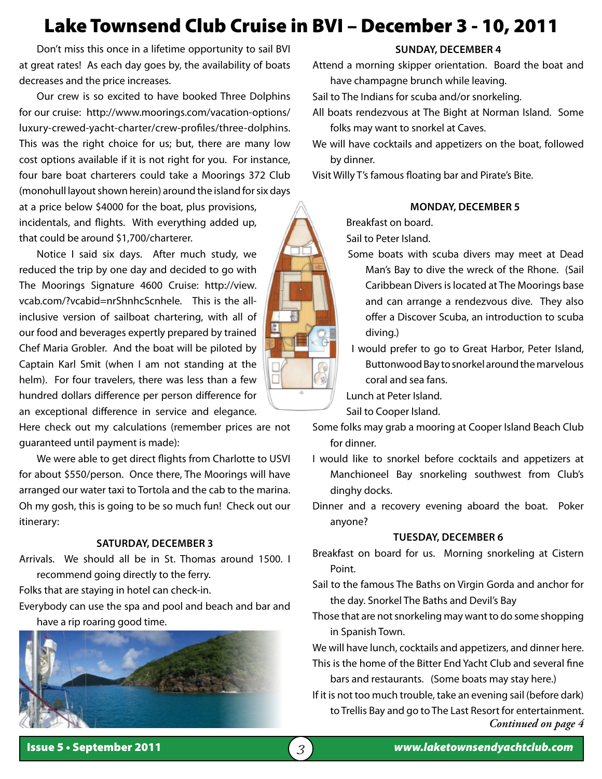# Lake Townsend Club Cruise in BVI – December 3 - 10, 2011

Don't miss this once in a lifetime opportunity to sail BVI at great rates! As each day goes by, the availability of boats decreases and the price increases.

Our crew is so excited to have booked Three Dolphins for our cruise: http://www.moorings.com/vacation-options/ luxury-crewed-yacht-charter/crew-profiles/three-dolphins. This was the right choice for us; but, there are many low cost options available if it is not right for you. For instance, four bare boat charterers could take a Moorings 372 Club (monohull layout shown herein) around the island for six days at a price below \$4000 for the boat, plus provisions, incidentals, and flights. With everything added up,

Notice I said six days. After much study, we reduced the trip by one day and decided to go with The Moorings Signature 4600 Cruise: http://view. vcab.com/?vcabid=nrShnhcScnhele. This is the allinclusive version of sailboat chartering, with all of our food and beverages expertly prepared by trained Chef Maria Grobler. And the boat will be piloted by Captain Karl Smit (when I am not standing at the helm). For four travelers, there was less than a few hundred dollars difference per person difference for an exceptional difference in service and elegance.

that could be around \$1,700/charterer.

Here check out my calculations (remember prices are not guaranteed until payment is made):

We were able to get direct flights from Charlotte to USVI for about \$550/person. Once there, The Moorings will have arranged our water taxi to Tortola and the cab to the marina. Oh my gosh, this is going to be so much fun! Check out our itinerary:

#### **Saturday, December 3**

Arrivals. We should all be in St. Thomas around 1500. I recommend going directly to the ferry.

Folks that are staying in hotel can check-in.

Everybody can use the spa and pool and beach and bar and have a rip roaring good time.



#### **Sunday, December 4**

Attend a morning skipper orientation. Board the boat and have champagne brunch while leaving.

- Sail to The Indians for scuba and/or snorkeling.
- All boats rendezvous at The Bight at Norman Island. Some folks may want to snorkel at Caves.
- We will have cocktails and appetizers on the boat, followed by dinner.

Visit Willy T's famous floating bar and Pirate's Bite.

#### **Monday, December 5**

Breakfast on board.

Sail to Peter Island.

- Some boats with scuba divers may meet at Dead
	- Man's Bay to dive the wreck of the Rhone. (Sail Caribbean Divers is located at The Moorings base and can arrange a rendezvous dive. They also offer a Discover Scuba, an introduction to scuba diving.)
- I would prefer to go to Great Harbor, Peter Island, Buttonwood Bay to snorkel around the marvelous coral and sea fans.

Lunch at Peter Island.

Sail to Cooper Island.

Some folks may grab a mooring at Cooper Island Beach Club for dinner.

- I would like to snorkel before cocktails and appetizers at Manchioneel Bay snorkeling southwest from Club's dinghy docks.
- Dinner and a recovery evening aboard the boat. Poker anyone?

#### **Tuesday, December 6**

- Breakfast on board for us. Morning snorkeling at Cistern Point.
- Sail to the famous The Baths on Virgin Gorda and anchor for the day. Snorkel The Baths and Devil's Bay
- Those that are not snorkeling may want to do some shopping in Spanish Town.

We will have lunch, cocktails and appetizers, and dinner here. This is the home of the Bitter End Yacht Club and several fine

bars and restaurants. (Some boats may stay here.)

If it is not too much trouble, take an evening sail (before dark) to Trellis Bay and go to The Last Resort for entertainment. *Continued on page 4*

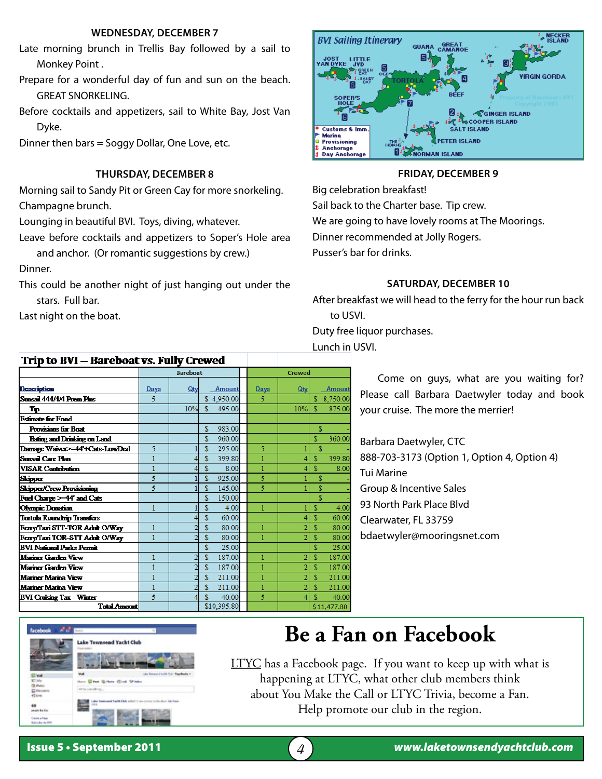#### **Wednesday, December 7**

- Late morning brunch in Trellis Bay followed by a sail to Monkey Point .
- Prepare for a wonderful day of fun and sun on the beach. GREAT SNORKELING.
- Before cocktails and appetizers, sail to White Bay, Jost Van Dyke.
- Dinner then bars = Soggy Dollar, One Love, etc.

#### **Thursday, December 8**

Morning sail to Sandy Pit or Green Cay for more snorkeling. Champagne brunch.

Lounging in beautiful BVI. Toys, diving, whatever.

Leave before cocktails and appetizers to Soper's Hole area and anchor. (Or romantic suggestions by crew.)

Dinner.

This could be another night of just hanging out under the stars. Full bar.

Last night on the boat.



#### **Friday, December 9**

Big celebration breakfast! Sail back to the Charter base. Tip crew. We are going to have lovely rooms at The Moorings. Dinner recommended at Jolly Rogers. Pusser's bar for drinks.

#### **Saturday, December 10**

After breakfast we will head to the ferry for the hour run back to USVI.

Duty free liquor purchases.

Lunch in USVI.

Come on guys, what are you waiting for? Please call Barbara Daetwyler today and book your cruise. The more the merrier!

Barbara Daetwyler, CTC 888-703-3173 (Option 1, Option 4, Option 4) Tui Marine Group & Incentive Sales 93 North Park Place Blvd Clearwater, FL 33759 bdaetwyler@mooringsnet.com

| Trip to BVI – Bareboat vs. Fully Crewed |      |                 |     |               |      |               |    |               |
|-----------------------------------------|------|-----------------|-----|---------------|------|---------------|----|---------------|
|                                         |      | <b>Bareboat</b> |     |               |      | <b>Crewed</b> |    |               |
| Description                             | Days | Qty             |     | <b>Amount</b> | Days | Qty           |    | <b>Amount</b> |
| Sunsail 444/4/4 Prem Pins               | 5    |                 |     | \$4.950.00    | 5    |               | s. | 8,750.00      |
| Tр                                      |      | 10%             | \$. | 495.00        |      | 10%           | S  | 875.00        |
| <b>Estimate for Food</b>                |      |                 |     |               |      |               |    |               |
| Provisions for Boat                     |      |                 | S   | 983.00        |      |               | Ś  |               |
| <b>Eating and Drinking on Land</b>      |      |                 | Ś   | 960.00        |      |               | S  | 360.00        |
| Damage Waiver>=44'+Cats-LowDed          | 5    |                 | S   | 295.00        | 5    |               | Ś  |               |
| Sunsail Care Plan                       |      |                 | Ŝ   | 399.80        |      |               | S  | 399.80        |
| VISAR Contribution                      |      |                 | Ŝ   | 8.00          | 1    |               | S  | 8.00          |
| <b>Skipper</b>                          | 5    |                 | S   | 925.00        | 5    |               | S  |               |
| <b>Skipper/Crew Provisioning</b>        | 5    |                 | S   | 145.00        | 5    |               | S  |               |
| Fuel Charge >=44' and Cats              |      |                 | Ś   | 150.00        |      |               | Ś  |               |
| <b>Olympic Donation</b>                 | 1    |                 | Ś   | 4.00          | 1    |               | S  | 4.00          |
| <b>Tortola Roundirip Transfers</b>      |      |                 | Ś   | 60.00         |      |               | S  | 60.00         |
| Ferry/Taxi STT-TOR Adult O/Way          | 1    |                 | Ś   | 80.00         | 1    |               | S  | 80.00         |
| Ferry/Taxi TOR-STT Adult O/Way          | 1    |                 | Ś   | 80.00         | 1    |               | Ś  | 80.00         |
| <b>BVI National Parks Permit</b>        |      |                 | Ŝ   | 25.00         |      |               | Ś  | 25.00         |
| Mariner Garden View                     | 1    |                 | Ŝ   | 187.00        | 1    |               | Ś. | 187.00        |
| Mariner Garden View                     |      |                 | Ś   | 187.00        |      |               | S  | 187.00        |
| Mariner Marina View                     |      |                 | S   | 211.00        | 1    |               | S  | 211.00        |
| Mariner Marina View                     | 1    |                 | Ś   | 211.00        |      | 2             | Ś  | 211.00        |
| <b>BVI Cruising Tax - Winter</b>        | 5    | 4               | \$. | 40.00         | 5    | 4             | S  | 40.00         |
| <b>Total Amount</b>                     |      |                 |     | \$10,395.80   |      |               |    | \$11,477.80   |

# **Be a Fan on Facebook**

**LTYC** has a Facebook page. If you want to keep up with what is happening at LTYC, what other club members think about You Make the Call or LTYC Trivia, become a Fan. Help promote our club in the region.

ake Townsend Yacht Club

**AT Les**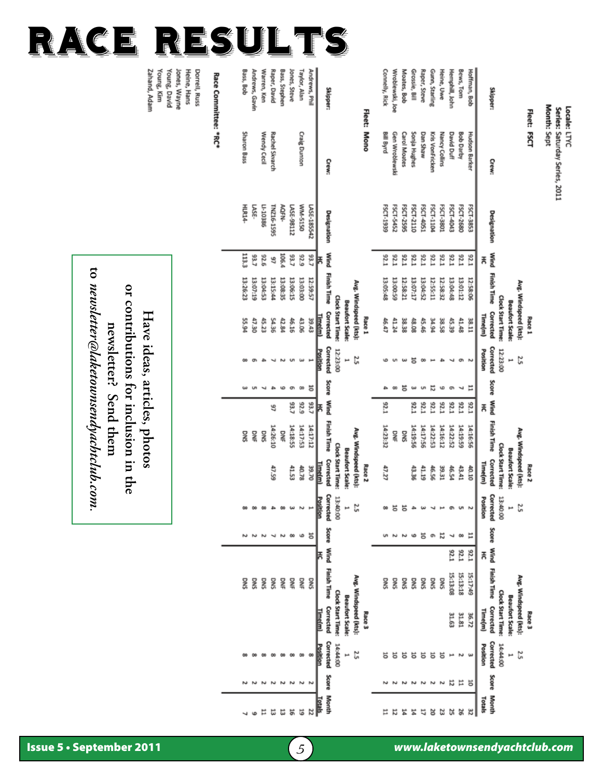|                      | Month: Sept            |                    |           |                    |                                                 |                              |       |           |                        |                                                 |                               |    |      |                        |                             |                              |                    |               |
|----------------------|------------------------|--------------------|-----------|--------------------|-------------------------------------------------|------------------------------|-------|-----------|------------------------|-------------------------------------------------|-------------------------------|----|------|------------------------|-----------------------------|------------------------------|--------------------|---------------|
|                      | Fleet: FSCT            |                    |           |                    | Race <sub>1</sub>                               |                              |       |           |                        | Race <sub>2</sub>                               |                               |    |      |                        | Race <sub>3</sub>           |                              |                    |               |
|                      |                        |                    |           |                    | Avg. Windspeed (kts):<br><b>Beaufort Scale:</b> | 2.5<br>H                     |       |           |                        | Avg. Windspeed (kts):<br><b>Beaufort Scale:</b> | 2.5                           |    |      | Avg. Windspeed (kts):  | <b>Beaufort Scale:</b>      | 2.5<br>H                     |                    |               |
|                      |                        |                    |           |                    | Clock Start Time:                               | 12:23:00                     |       |           |                        | <b>Clock Start Time:</b>                        | 13:40:00                      |    |      |                        | Clock Start Time:           | 14:44:00                     |                    |               |
| Skipper:             | Crew:                  | Designation        | Mind<br>놎 | <b>Finish Time</b> | Corrected<br><b>Time(m)</b>                     | Corrected<br>Position        | Score | Mind<br>놎 | <b>Finish Time</b>     | Corrected<br><b>Time(m)</b>                     | Corrected<br>Position         |    | ᆃ    | Score Wind Finish Time | Corrected<br><b>Time(m)</b> | Corrected<br>Position        | <b>Score Month</b> | Totals        |
| Hoffman, Bob         | <b>Hudson Barker</b>   | FSCT-3853          | 12.1      | 12:58:06           | 138.11                                          |                              | н     | 12.1      | 14:16:56               | 40.10                                           |                               | н  | 1726 | 15:17:49               | 36.72                       |                              | ä                  | æ             |
| Bews, Tom            | <b>Bob Darby</b>       | FSCT-2680          | 176       | 13:01:12           | 41.48                                           | <b>O</b>                     | ы     | 125       | 14:19:59               | 43.41                                           |                               | œ  | 176  | 15:13:18               | 31.81                       |                              | Ħ                  | 26            |
| Hemphill, John       | <b>David Duff</b>      | FSCT-4043          | 32.       | 13:04:48           | 45.39                                           |                              | œ     | 12.1      | 14:22:52               | 46.54                                           |                               | ч  | 176  | 15:13:08               | 31.63                       |                              | 2                  | 25            |
| Heine, Uwe           | Nancy Collins          | FSCT-3801          | 32.       | 12:58:32           | 38.58                                           |                              | ω     | 52.1      | 14:16:12               | 39.31                                           |                               | Z  |      | SNO                    |                             | 능                            | Σ                  | a             |
| Gunn, Starling       | <b>Kris VonFricken</b> | FSCT-1104          | 32.       | 12:55:11           | <b>PO.PE</b>                                    |                              | ដ     | 125       | 14:22:53               | 46.56                                           |                               | e  |      | DNS                    |                             | 능                            | z                  | ಜ             |
| Raper, Steve         | Dan Shaw               | FSCT-405:          | 32.       | 13:04:52           | 45.46                                           |                              | S     | 12.1      | 14:17:56               | 41.19                                           |                               | 능  |      | SNO                    |                             | 능                            | Z                  | 17            |
| Grossie, Bill        | Sonja Hughes           | FSCT-2110          | 32.       | 13:07:17           | 48.08                                           | ៩                            | w     | 52.1      | 14:19:56               | 43.36                                           |                               | ه  |      | SNO                    |                             | 능                            |                    | ጜ             |
| Moates, Bob          | <b>Carol Moates</b>    | FSCT-2595          | 176       | 12:58:27           | 38.38                                           |                              | 5     |           | <b>SNG</b>             |                                                 | 5                             |    |      | DNS                    |                             | 능                            |                    | 岩             |
| Wroblewski, Joe      | Gen Wroblewski         | FSCT-5452          | 52.1      | 13:00:59           | 41.24                                           | <b>UT</b>                    | œ     |           | DNE                    |                                                 | ā                             |    |      | SNO                    |                             | 능                            |                    | 局             |
| Connelly, Rick       | Bill Byrd              | FSCT-1939          | 176       | 13:05:48           | 46.47                                           | ۱O                           | ₽     | 1726      | 14:23:32               | 47.27                                           |                               |    |      | <b>DNS</b>             |                             |                              |                    | ∺             |
|                      | Fleet: Mono            |                    |           |                    | Race 1                                          |                              |       |           |                        | Race <sub>2</sub>                               |                               |    |      |                        | Race 3                      |                              |                    |               |
|                      |                        |                    |           |                    | Avg. Windspeed (kts):                           | 2.5                          |       |           |                        | Avg. Windspeed (kts):                           | 2.5                           |    |      |                        | Avg. Windspeed (kts):       | ςz                           |                    |               |
|                      |                        |                    |           |                    | <b>Beaufort Scale:</b>                          | H                            |       |           |                        | <b>Beaufort Scale:</b>                          | ۳                             |    |      |                        | <b>Beaufort Scale:</b>      | ×                            |                    |               |
|                      |                        |                    |           |                    | Clock Start Time:                               | 12:23:00                     |       |           |                        | <b>Clock Start Time:</b>                        | 13:40:00                      |    |      |                        | <b>Clock Start Time:</b>    | 14:44:00                     |                    |               |
| Skipper:             | Crew:                  | <b>Designation</b> | 볹         | Wind Finish Time   | Corrected<br><u>Lime(m)</u>                     | Corrected<br><b>Position</b> |       | 볹         | Score Wind Finish Time | Corrected<br><u>Lime (m)</u>                    | Corrected<br><b>Post</b><br>Ë |    | 青    | Score Wind Finish Time | Corrected<br><u>Time(m)</u> | Corrected<br><b>Position</b> | Score Month        | <b>Lotals</b> |
| Andrews, Phil        |                        | LASE-185542        | 93.7      | 12:59:57           | 39.43                                           |                              | ä     | 93,7      | 14:17:12               | 39.70                                           |                               | ä  |      | <b>DNS</b>             |                             |                              |                    | Z             |
| Taylor, Alan         | <b>Craig Dunton</b>    | 0515-WW            | 6726      | 13:03:00           | 43.06                                           |                              | œ     | 6726      | 14:17:53               | 40.78                                           |                               | ها |      | 뫃                      |                             |                              | یم                 | 5             |
| Jones, Steve         |                        | LASE-98112         | 53,7      | 13:06:15           | 46.16                                           |                              | ø     | 93,7      | 14:18:55               | 41.53                                           |                               | 8  |      | 몱                      |                             |                              | Z                  |               |
| Bass, Stephen        |                        | AQFN-              | 106.4     | 13:08:35           | 42.84                                           |                              | φ     |           | š                      |                                                 |                               | ζ  |      | 뫃                      |                             |                              | دە                 |               |
| Raper, David         | Rachel Skvarch         | TNZ16-1595         | 46        | 13:15:44           | 54.36                                           |                              | æ.    | 46        | 14:26:10               | 47.59                                           |                               | ↵  |      | DNS                    |                             |                              | $\overline{ }$     | ಸ ಜ ಜ         |
| Warren, Ken          | Wendy Cecil            | 01-10386           | 92.6      | 13:04:52           | 45.23                                           |                              | ы     |           | SNO                    |                                                 |                               | ىم |      | <b>DINS</b>            |                             |                              |                    | Ħ             |
| Andrews, Gavin       |                        | LASE-              | 53.7      | 13:07:19           | 47.30                                           |                              | U     |           | 뫃                      |                                                 |                               | N  |      | <b>DNS</b>             |                             |                              |                    |               |
| Bass, Bob            | Sharon Bass            | HLR14-             | 113.3     | 13:26:23           | 55.94                                           | OO                           | ω     |           | DNS                    |                                                 |                               |    |      | <b>DINS</b>            |                             |                              |                    |               |
|                      |                        |                    |           |                    |                                                 |                              |       |           |                        |                                                 |                               |    |      |                        |                             |                              |                    |               |
| Race Committee: *RC* |                        |                    |           |                    |                                                 |                              |       |           |                        |                                                 |                               |    |      |                        |                             |                              |                    |               |

Jones, Wayne<br>Young, David<br>Young, Kim<br>Zahand, Adam Dorrell, Russ<br>Heine, Hans

**Have ideas, articles, photos or contributions for inclusion in the newsletter? Send them to** *newsletter@laketownsendyachtclub.com*.

# Locale: LTYC Series: Saturday Series, 2011

race Results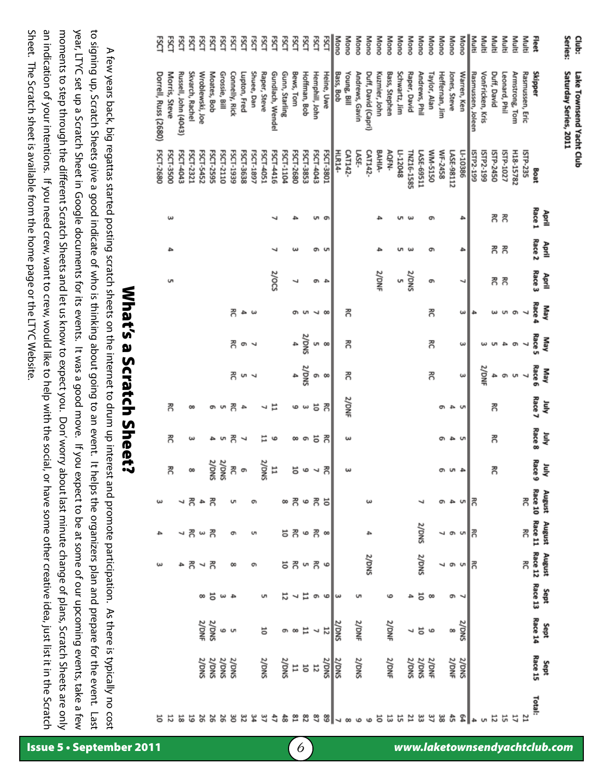an indication of your intentions. If you need crew, want to crew, would like to help with the social, or have some other creative idea, just list it in the Scratch Sheet. The Scratch sheet is available from the home page or the LTYC Website. moments to step through the different Scratch Sheets and let us know to expect you. Don' worry about last minute change of plans, Scratch Sheets are only year, LTYC set up a Scratch Sheet in Google documents for its events. It was a good move. If you expect to be at some of our upcoming events, take a few to signing up, Scratch Sheets give a good indicate of who is thinking about going to an event. It helps the organizers plan and prepare for the event. Last year, LTYC set up a Scratch Sheet in Google documents for its events. It was a good move. If you expect to be at some of our upcoming events, take a few to signing up, Scratch Sheets give a good indicate of who is thinking about going to an event. It helps the organizers plan and prepare for the event. Last Sheet. The Scratch sheet is available from the home page or the LTYC Website. an indication of your intentions. If you need crew, want to crew, would like to help with the social, or have some other creative idea, just list it in the Scratch moments to step through the different Scratch Sheets and let us know to expect you. Don' worry about last minute change of plans, Scratch Sheets are only A few years back, big regattas started posting scratch sheets on the internet to drum up interest and promote participation. As there is typically no cost A few years back, big regattas started posting scratch sheets on the internet to drum up interest and promote participation. As there is typically no cost

**What's a Scratch Sheet?** 

| Series:<br>Mono<br>Mono<br>Multi<br>Multi<br>FSCT<br><u>rsc</u><br>Mono<br>Mono<br>Mono<br>Mono<br>Mono<br>Mono<br>Mono<br>Mono<br>Mono<br>Mono<br>Multi<br>Multi<br>Club:<br>Rσ<br>Ŗά<br>RSCT<br>FSCT<br>Mono<br>Multi<br>Multi<br>š<br>Š<br>ŠCT<br>ξś<br>ŠCT<br>ξćτ<br>Fleet<br>ΕŠ<br>š<br>ŠCT<br>FSCT<br>Saturday Series, 2011<br>Skipper<br>Shuee, Dan<br>Gunn, Starling<br>Bews, Tom<br>Hoffman, Bob<br>Hemphill, John<br>Young, Bill<br>Schwartz, Jim<br>Raper, David<br>Andrews, Phil<br>Taylor, Alan<br>Heffernan, Jim<br>VonFricken, Kris<br>Duff, David<br>Lake Townsend Yacht Club<br>Morris, Steve<br>Skvarch, Rachel<br>Wroblewski, Joe<br>Moates, Bob<br>Grossie, Bill<br>Connelly, Rick<br>Lupton, Fred<br>Raper, Steve<br>Gundlach, Wendel<br>Bass, Bob<br>Andrews, Gavin<br>Duff, David (Capri)<br>Kuzmier, John<br>Bass, Stephen<br><b>Jones, Steve</b><br>Warren, Ken<br>Rasmussen, Joleen<br>Leonard, Phil<br>Armstrong, Tom<br>Rasmussen, Eric<br>Russell, John (4043)<br>Heine, Uwe<br>FSCT-3500<br>FSCT-4043<br>FSCT-3853<br><b>MM-5150</b><br>WF-2458<br>H18-15782<br>FSCT-4051<br>FSCT-4416<br>FSCT-2680<br>FSCT-4043<br>FSCT-3801<br>HLR14-<br>LI-10386<br>ISTP-2450<br>ISTP-235<br>FSCT-2321<br>FSCT-5452<br>FSCT-2595<br>FSCT-2110<br>FSCT-1939<br>FSCT-3638<br>FSCT-1897<br>FSCT-1104<br>LASE-<br>BAHIA-<br>AQFN-<br>LI-12048<br>TNZ16-1585<br>LASE-69511<br>LASE-98112<br>ISTP2-199<br>ISTP-1027<br>CAT142-<br>CAT142-<br>ISTP2-199<br>Boat<br>Race 1<br>할<br>గె<br>గె<br>ω<br>un on<br>4<br>ω<br>o۱<br>Race <sub>2</sub><br>April<br>గౌ గౌ<br>ത ഗ<br>₽<br>ω<br>س<br>o۱<br>Race 3<br>2/0CS<br>2/DNF<br>2/DNS<br>April<br>U1<br>႙<br>콩<br><b>UT</b><br>e<br>┙<br>ō<br>$\rightarrow$<br>↵<br>Race 4<br><b>AeM</b><br>గె<br>콩<br>콩<br>ىئ<br>ম ∞<br>4<br>S<br>ω<br>c<br><sub>መ</sub><br>≏<br>ىئ<br>Race 5<br>SNO/Z<br><b>AeM</b><br>గౌ<br>గె<br>콩<br>4<br><b>un co</b><br>e<br>ω<br>ω<br>o<br>┙<br>Race 6<br>SNO/Z<br>2/DNF<br><b>AeM</b><br>콩<br>콩<br>콩<br>ς,<br>₳<br>g,<br>œ<br>ω<br>₽<br>ō<br>u -<br>Race 7<br>2/DNF<br>ξ<br>R<br>5<br>콩<br>5<br>콩<br>Ħ<br>ىيە<br>$\infty$<br>ë<br>ç<br>4<br>ه<br>ō<br>いら<br>┙<br>Race 8<br>ήul<br>గె<br>5<br>콩<br>5<br>గె<br>ω<br>œ<br>ō<br>س<br>もい<br>ω<br>⊣<br>o۱<br>July<br>Race 9<br>2/DNS<br>$\frac{11}{2000}$<br>ξŚ,<br>5<br>గె<br>g,<br>గె<br>20<br>$\overline{\phantom{a}}$<br>$\pmb{\omega}$<br>س<br>4 W<br>e<br><b>August</b><br>Race 10<br>۶,<br>គ <b>គ</b><br>콩<br>గౌ<br>콩<br>∥ສ<br>$\ddot{\circ}$<br>8<br>4<br>ねい<br>ω<br>ō<br>August August Sept<br>Race 11 Race 12 Race 13<br>2/DNS<br>កី<br>७ 콩 ∞<br>콩<br>5 ನ<br>∥⊼<br>콩<br>ω<br>4<br>٦<br>ō<br>c<br>o<br>2/DNS<br>SNO/2<br>3g<br><b>いのも</b><br>چ ∼ چ<br>ಕ ಕ<br>৸∥স<br>٦<br>G<br>ä<br>5<br>ᆸ<br>e<br>ω<br>$\ddot{ }$<br>S<br>G<br>6<br>$\infty$<br>o<br>Sept<br>Race 14<br>2/DNF<br>2/DNF<br>2/DNS<br>2/DNF<br>2/DNS<br>SNO/Z<br>5<br>H<br>$\overline{5}$<br>ە 5<br>ဖ ဟ<br>თ თ<br>œ<br>Sept<br>Race 15<br>2/DNS<br>2/DNF<br>2/DNS<br>2/DNS<br>2/DNS<br>2/DNS<br>$\frac{20005}{20005}$<br>Z/DNS<br>2/DNF<br>2/DNS<br>2/DNE<br>2/DNS<br>2/DNS<br>$\frac{2}{2}$<br>or<br>$\overline{5}$<br>Total:<br>ढ़ऺ<br>51<br>28<br>ಇ<br>38<br>흢<br>12<br>Z<br>ಜ<br>37<br>ድ<br>55<br>12<br>52<br>5<br>52<br>92<br>9č<br>g<br>8<br>17<br>జ<br>쓃 | 능 |  | ω | ₽ |  |  |  |  |  | FSCT-2680 | Dorrell, Russ (2680) | ESCI |
|---------------------------------------------------------------------------------------------------------------------------------------------------------------------------------------------------------------------------------------------------------------------------------------------------------------------------------------------------------------------------------------------------------------------------------------------------------------------------------------------------------------------------------------------------------------------------------------------------------------------------------------------------------------------------------------------------------------------------------------------------------------------------------------------------------------------------------------------------------------------------------------------------------------------------------------------------------------------------------------------------------------------------------------------------------------------------------------------------------------------------------------------------------------------------------------------------------------------------------------------------------------------------------------------------------------------------------------------------------------------------------------------------------------------------------------------------------------------------------------------------------------------------------------------------------------------------------------------------------------------------------------------------------------------------------------------------------------------------------------------------------------------------------------------------------------------------------------------------------------------------------------------------------------------------------------------------------------------------------------------------------------------------------------------------------------------------------------------------------------------------------------------------------------------------------------------------------------------------------------------------------------------------------------------------------------------------------------------------------------------------------------------------------------------------------------------------------------------------------------------------------------------------------------------------------------------------------------------------------------------------------------------------------------------------------------------------------------------------------------------------------------------------------------------------------------------------------------------------------------------------------------------------------------------------------------------------------------------------------------------------------------------------------------------------------------------------------------------------------------------------------------------------------------------------------------------------------------------------------------------------------------|---|--|---|---|--|--|--|--|--|-----------|----------------------|------|
|                                                                                                                                                                                                                                                                                                                                                                                                                                                                                                                                                                                                                                                                                                                                                                                                                                                                                                                                                                                                                                                                                                                                                                                                                                                                                                                                                                                                                                                                                                                                                                                                                                                                                                                                                                                                                                                                                                                                                                                                                                                                                                                                                                                                                                                                                                                                                                                                                                                                                                                                                                                                                                                                                                                                                                                                                                                                                                                                                                                                                                                                                                                                                                                                                                                               |   |  |   |   |  |  |  |  |  |           |                      |      |
|                                                                                                                                                                                                                                                                                                                                                                                                                                                                                                                                                                                                                                                                                                                                                                                                                                                                                                                                                                                                                                                                                                                                                                                                                                                                                                                                                                                                                                                                                                                                                                                                                                                                                                                                                                                                                                                                                                                                                                                                                                                                                                                                                                                                                                                                                                                                                                                                                                                                                                                                                                                                                                                                                                                                                                                                                                                                                                                                                                                                                                                                                                                                                                                                                                                               |   |  |   |   |  |  |  |  |  |           |                      |      |
|                                                                                                                                                                                                                                                                                                                                                                                                                                                                                                                                                                                                                                                                                                                                                                                                                                                                                                                                                                                                                                                                                                                                                                                                                                                                                                                                                                                                                                                                                                                                                                                                                                                                                                                                                                                                                                                                                                                                                                                                                                                                                                                                                                                                                                                                                                                                                                                                                                                                                                                                                                                                                                                                                                                                                                                                                                                                                                                                                                                                                                                                                                                                                                                                                                                               |   |  |   |   |  |  |  |  |  |           |                      |      |
|                                                                                                                                                                                                                                                                                                                                                                                                                                                                                                                                                                                                                                                                                                                                                                                                                                                                                                                                                                                                                                                                                                                                                                                                                                                                                                                                                                                                                                                                                                                                                                                                                                                                                                                                                                                                                                                                                                                                                                                                                                                                                                                                                                                                                                                                                                                                                                                                                                                                                                                                                                                                                                                                                                                                                                                                                                                                                                                                                                                                                                                                                                                                                                                                                                                               |   |  |   |   |  |  |  |  |  |           |                      |      |
|                                                                                                                                                                                                                                                                                                                                                                                                                                                                                                                                                                                                                                                                                                                                                                                                                                                                                                                                                                                                                                                                                                                                                                                                                                                                                                                                                                                                                                                                                                                                                                                                                                                                                                                                                                                                                                                                                                                                                                                                                                                                                                                                                                                                                                                                                                                                                                                                                                                                                                                                                                                                                                                                                                                                                                                                                                                                                                                                                                                                                                                                                                                                                                                                                                                               |   |  |   |   |  |  |  |  |  |           |                      |      |
|                                                                                                                                                                                                                                                                                                                                                                                                                                                                                                                                                                                                                                                                                                                                                                                                                                                                                                                                                                                                                                                                                                                                                                                                                                                                                                                                                                                                                                                                                                                                                                                                                                                                                                                                                                                                                                                                                                                                                                                                                                                                                                                                                                                                                                                                                                                                                                                                                                                                                                                                                                                                                                                                                                                                                                                                                                                                                                                                                                                                                                                                                                                                                                                                                                                               |   |  |   |   |  |  |  |  |  |           |                      |      |
|                                                                                                                                                                                                                                                                                                                                                                                                                                                                                                                                                                                                                                                                                                                                                                                                                                                                                                                                                                                                                                                                                                                                                                                                                                                                                                                                                                                                                                                                                                                                                                                                                                                                                                                                                                                                                                                                                                                                                                                                                                                                                                                                                                                                                                                                                                                                                                                                                                                                                                                                                                                                                                                                                                                                                                                                                                                                                                                                                                                                                                                                                                                                                                                                                                                               |   |  |   |   |  |  |  |  |  |           |                      |      |
|                                                                                                                                                                                                                                                                                                                                                                                                                                                                                                                                                                                                                                                                                                                                                                                                                                                                                                                                                                                                                                                                                                                                                                                                                                                                                                                                                                                                                                                                                                                                                                                                                                                                                                                                                                                                                                                                                                                                                                                                                                                                                                                                                                                                                                                                                                                                                                                                                                                                                                                                                                                                                                                                                                                                                                                                                                                                                                                                                                                                                                                                                                                                                                                                                                                               |   |  |   |   |  |  |  |  |  |           |                      |      |
|                                                                                                                                                                                                                                                                                                                                                                                                                                                                                                                                                                                                                                                                                                                                                                                                                                                                                                                                                                                                                                                                                                                                                                                                                                                                                                                                                                                                                                                                                                                                                                                                                                                                                                                                                                                                                                                                                                                                                                                                                                                                                                                                                                                                                                                                                                                                                                                                                                                                                                                                                                                                                                                                                                                                                                                                                                                                                                                                                                                                                                                                                                                                                                                                                                                               |   |  |   |   |  |  |  |  |  |           |                      |      |
|                                                                                                                                                                                                                                                                                                                                                                                                                                                                                                                                                                                                                                                                                                                                                                                                                                                                                                                                                                                                                                                                                                                                                                                                                                                                                                                                                                                                                                                                                                                                                                                                                                                                                                                                                                                                                                                                                                                                                                                                                                                                                                                                                                                                                                                                                                                                                                                                                                                                                                                                                                                                                                                                                                                                                                                                                                                                                                                                                                                                                                                                                                                                                                                                                                                               |   |  |   |   |  |  |  |  |  |           |                      |      |
|                                                                                                                                                                                                                                                                                                                                                                                                                                                                                                                                                                                                                                                                                                                                                                                                                                                                                                                                                                                                                                                                                                                                                                                                                                                                                                                                                                                                                                                                                                                                                                                                                                                                                                                                                                                                                                                                                                                                                                                                                                                                                                                                                                                                                                                                                                                                                                                                                                                                                                                                                                                                                                                                                                                                                                                                                                                                                                                                                                                                                                                                                                                                                                                                                                                               |   |  |   |   |  |  |  |  |  |           |                      |      |
|                                                                                                                                                                                                                                                                                                                                                                                                                                                                                                                                                                                                                                                                                                                                                                                                                                                                                                                                                                                                                                                                                                                                                                                                                                                                                                                                                                                                                                                                                                                                                                                                                                                                                                                                                                                                                                                                                                                                                                                                                                                                                                                                                                                                                                                                                                                                                                                                                                                                                                                                                                                                                                                                                                                                                                                                                                                                                                                                                                                                                                                                                                                                                                                                                                                               |   |  |   |   |  |  |  |  |  |           |                      |      |
|                                                                                                                                                                                                                                                                                                                                                                                                                                                                                                                                                                                                                                                                                                                                                                                                                                                                                                                                                                                                                                                                                                                                                                                                                                                                                                                                                                                                                                                                                                                                                                                                                                                                                                                                                                                                                                                                                                                                                                                                                                                                                                                                                                                                                                                                                                                                                                                                                                                                                                                                                                                                                                                                                                                                                                                                                                                                                                                                                                                                                                                                                                                                                                                                                                                               |   |  |   |   |  |  |  |  |  |           |                      |      |
|                                                                                                                                                                                                                                                                                                                                                                                                                                                                                                                                                                                                                                                                                                                                                                                                                                                                                                                                                                                                                                                                                                                                                                                                                                                                                                                                                                                                                                                                                                                                                                                                                                                                                                                                                                                                                                                                                                                                                                                                                                                                                                                                                                                                                                                                                                                                                                                                                                                                                                                                                                                                                                                                                                                                                                                                                                                                                                                                                                                                                                                                                                                                                                                                                                                               |   |  |   |   |  |  |  |  |  |           |                      |      |
|                                                                                                                                                                                                                                                                                                                                                                                                                                                                                                                                                                                                                                                                                                                                                                                                                                                                                                                                                                                                                                                                                                                                                                                                                                                                                                                                                                                                                                                                                                                                                                                                                                                                                                                                                                                                                                                                                                                                                                                                                                                                                                                                                                                                                                                                                                                                                                                                                                                                                                                                                                                                                                                                                                                                                                                                                                                                                                                                                                                                                                                                                                                                                                                                                                                               |   |  |   |   |  |  |  |  |  |           |                      |      |
|                                                                                                                                                                                                                                                                                                                                                                                                                                                                                                                                                                                                                                                                                                                                                                                                                                                                                                                                                                                                                                                                                                                                                                                                                                                                                                                                                                                                                                                                                                                                                                                                                                                                                                                                                                                                                                                                                                                                                                                                                                                                                                                                                                                                                                                                                                                                                                                                                                                                                                                                                                                                                                                                                                                                                                                                                                                                                                                                                                                                                                                                                                                                                                                                                                                               |   |  |   |   |  |  |  |  |  |           |                      |      |
|                                                                                                                                                                                                                                                                                                                                                                                                                                                                                                                                                                                                                                                                                                                                                                                                                                                                                                                                                                                                                                                                                                                                                                                                                                                                                                                                                                                                                                                                                                                                                                                                                                                                                                                                                                                                                                                                                                                                                                                                                                                                                                                                                                                                                                                                                                                                                                                                                                                                                                                                                                                                                                                                                                                                                                                                                                                                                                                                                                                                                                                                                                                                                                                                                                                               |   |  |   |   |  |  |  |  |  |           |                      |      |
|                                                                                                                                                                                                                                                                                                                                                                                                                                                                                                                                                                                                                                                                                                                                                                                                                                                                                                                                                                                                                                                                                                                                                                                                                                                                                                                                                                                                                                                                                                                                                                                                                                                                                                                                                                                                                                                                                                                                                                                                                                                                                                                                                                                                                                                                                                                                                                                                                                                                                                                                                                                                                                                                                                                                                                                                                                                                                                                                                                                                                                                                                                                                                                                                                                                               |   |  |   |   |  |  |  |  |  |           |                      |      |
|                                                                                                                                                                                                                                                                                                                                                                                                                                                                                                                                                                                                                                                                                                                                                                                                                                                                                                                                                                                                                                                                                                                                                                                                                                                                                                                                                                                                                                                                                                                                                                                                                                                                                                                                                                                                                                                                                                                                                                                                                                                                                                                                                                                                                                                                                                                                                                                                                                                                                                                                                                                                                                                                                                                                                                                                                                                                                                                                                                                                                                                                                                                                                                                                                                                               |   |  |   |   |  |  |  |  |  |           |                      |      |
|                                                                                                                                                                                                                                                                                                                                                                                                                                                                                                                                                                                                                                                                                                                                                                                                                                                                                                                                                                                                                                                                                                                                                                                                                                                                                                                                                                                                                                                                                                                                                                                                                                                                                                                                                                                                                                                                                                                                                                                                                                                                                                                                                                                                                                                                                                                                                                                                                                                                                                                                                                                                                                                                                                                                                                                                                                                                                                                                                                                                                                                                                                                                                                                                                                                               |   |  |   |   |  |  |  |  |  |           |                      |      |
|                                                                                                                                                                                                                                                                                                                                                                                                                                                                                                                                                                                                                                                                                                                                                                                                                                                                                                                                                                                                                                                                                                                                                                                                                                                                                                                                                                                                                                                                                                                                                                                                                                                                                                                                                                                                                                                                                                                                                                                                                                                                                                                                                                                                                                                                                                                                                                                                                                                                                                                                                                                                                                                                                                                                                                                                                                                                                                                                                                                                                                                                                                                                                                                                                                                               |   |  |   |   |  |  |  |  |  |           |                      |      |
|                                                                                                                                                                                                                                                                                                                                                                                                                                                                                                                                                                                                                                                                                                                                                                                                                                                                                                                                                                                                                                                                                                                                                                                                                                                                                                                                                                                                                                                                                                                                                                                                                                                                                                                                                                                                                                                                                                                                                                                                                                                                                                                                                                                                                                                                                                                                                                                                                                                                                                                                                                                                                                                                                                                                                                                                                                                                                                                                                                                                                                                                                                                                                                                                                                                               |   |  |   |   |  |  |  |  |  |           |                      |      |
|                                                                                                                                                                                                                                                                                                                                                                                                                                                                                                                                                                                                                                                                                                                                                                                                                                                                                                                                                                                                                                                                                                                                                                                                                                                                                                                                                                                                                                                                                                                                                                                                                                                                                                                                                                                                                                                                                                                                                                                                                                                                                                                                                                                                                                                                                                                                                                                                                                                                                                                                                                                                                                                                                                                                                                                                                                                                                                                                                                                                                                                                                                                                                                                                                                                               |   |  |   |   |  |  |  |  |  |           |                      |      |
|                                                                                                                                                                                                                                                                                                                                                                                                                                                                                                                                                                                                                                                                                                                                                                                                                                                                                                                                                                                                                                                                                                                                                                                                                                                                                                                                                                                                                                                                                                                                                                                                                                                                                                                                                                                                                                                                                                                                                                                                                                                                                                                                                                                                                                                                                                                                                                                                                                                                                                                                                                                                                                                                                                                                                                                                                                                                                                                                                                                                                                                                                                                                                                                                                                                               |   |  |   |   |  |  |  |  |  |           |                      |      |
|                                                                                                                                                                                                                                                                                                                                                                                                                                                                                                                                                                                                                                                                                                                                                                                                                                                                                                                                                                                                                                                                                                                                                                                                                                                                                                                                                                                                                                                                                                                                                                                                                                                                                                                                                                                                                                                                                                                                                                                                                                                                                                                                                                                                                                                                                                                                                                                                                                                                                                                                                                                                                                                                                                                                                                                                                                                                                                                                                                                                                                                                                                                                                                                                                                                               |   |  |   |   |  |  |  |  |  |           |                      |      |
|                                                                                                                                                                                                                                                                                                                                                                                                                                                                                                                                                                                                                                                                                                                                                                                                                                                                                                                                                                                                                                                                                                                                                                                                                                                                                                                                                                                                                                                                                                                                                                                                                                                                                                                                                                                                                                                                                                                                                                                                                                                                                                                                                                                                                                                                                                                                                                                                                                                                                                                                                                                                                                                                                                                                                                                                                                                                                                                                                                                                                                                                                                                                                                                                                                                               |   |  |   |   |  |  |  |  |  |           |                      |      |
|                                                                                                                                                                                                                                                                                                                                                                                                                                                                                                                                                                                                                                                                                                                                                                                                                                                                                                                                                                                                                                                                                                                                                                                                                                                                                                                                                                                                                                                                                                                                                                                                                                                                                                                                                                                                                                                                                                                                                                                                                                                                                                                                                                                                                                                                                                                                                                                                                                                                                                                                                                                                                                                                                                                                                                                                                                                                                                                                                                                                                                                                                                                                                                                                                                                               |   |  |   |   |  |  |  |  |  |           |                      |      |
|                                                                                                                                                                                                                                                                                                                                                                                                                                                                                                                                                                                                                                                                                                                                                                                                                                                                                                                                                                                                                                                                                                                                                                                                                                                                                                                                                                                                                                                                                                                                                                                                                                                                                                                                                                                                                                                                                                                                                                                                                                                                                                                                                                                                                                                                                                                                                                                                                                                                                                                                                                                                                                                                                                                                                                                                                                                                                                                                                                                                                                                                                                                                                                                                                                                               |   |  |   |   |  |  |  |  |  |           |                      |      |
|                                                                                                                                                                                                                                                                                                                                                                                                                                                                                                                                                                                                                                                                                                                                                                                                                                                                                                                                                                                                                                                                                                                                                                                                                                                                                                                                                                                                                                                                                                                                                                                                                                                                                                                                                                                                                                                                                                                                                                                                                                                                                                                                                                                                                                                                                                                                                                                                                                                                                                                                                                                                                                                                                                                                                                                                                                                                                                                                                                                                                                                                                                                                                                                                                                                               |   |  |   |   |  |  |  |  |  |           |                      |      |
|                                                                                                                                                                                                                                                                                                                                                                                                                                                                                                                                                                                                                                                                                                                                                                                                                                                                                                                                                                                                                                                                                                                                                                                                                                                                                                                                                                                                                                                                                                                                                                                                                                                                                                                                                                                                                                                                                                                                                                                                                                                                                                                                                                                                                                                                                                                                                                                                                                                                                                                                                                                                                                                                                                                                                                                                                                                                                                                                                                                                                                                                                                                                                                                                                                                               |   |  |   |   |  |  |  |  |  |           |                      |      |
|                                                                                                                                                                                                                                                                                                                                                                                                                                                                                                                                                                                                                                                                                                                                                                                                                                                                                                                                                                                                                                                                                                                                                                                                                                                                                                                                                                                                                                                                                                                                                                                                                                                                                                                                                                                                                                                                                                                                                                                                                                                                                                                                                                                                                                                                                                                                                                                                                                                                                                                                                                                                                                                                                                                                                                                                                                                                                                                                                                                                                                                                                                                                                                                                                                                               |   |  |   |   |  |  |  |  |  |           |                      |      |
|                                                                                                                                                                                                                                                                                                                                                                                                                                                                                                                                                                                                                                                                                                                                                                                                                                                                                                                                                                                                                                                                                                                                                                                                                                                                                                                                                                                                                                                                                                                                                                                                                                                                                                                                                                                                                                                                                                                                                                                                                                                                                                                                                                                                                                                                                                                                                                                                                                                                                                                                                                                                                                                                                                                                                                                                                                                                                                                                                                                                                                                                                                                                                                                                                                                               |   |  |   |   |  |  |  |  |  |           |                      |      |
|                                                                                                                                                                                                                                                                                                                                                                                                                                                                                                                                                                                                                                                                                                                                                                                                                                                                                                                                                                                                                                                                                                                                                                                                                                                                                                                                                                                                                                                                                                                                                                                                                                                                                                                                                                                                                                                                                                                                                                                                                                                                                                                                                                                                                                                                                                                                                                                                                                                                                                                                                                                                                                                                                                                                                                                                                                                                                                                                                                                                                                                                                                                                                                                                                                                               |   |  |   |   |  |  |  |  |  |           |                      |      |
|                                                                                                                                                                                                                                                                                                                                                                                                                                                                                                                                                                                                                                                                                                                                                                                                                                                                                                                                                                                                                                                                                                                                                                                                                                                                                                                                                                                                                                                                                                                                                                                                                                                                                                                                                                                                                                                                                                                                                                                                                                                                                                                                                                                                                                                                                                                                                                                                                                                                                                                                                                                                                                                                                                                                                                                                                                                                                                                                                                                                                                                                                                                                                                                                                                                               |   |  |   |   |  |  |  |  |  |           |                      |      |
|                                                                                                                                                                                                                                                                                                                                                                                                                                                                                                                                                                                                                                                                                                                                                                                                                                                                                                                                                                                                                                                                                                                                                                                                                                                                                                                                                                                                                                                                                                                                                                                                                                                                                                                                                                                                                                                                                                                                                                                                                                                                                                                                                                                                                                                                                                                                                                                                                                                                                                                                                                                                                                                                                                                                                                                                                                                                                                                                                                                                                                                                                                                                                                                                                                                               |   |  |   |   |  |  |  |  |  |           |                      |      |
|                                                                                                                                                                                                                                                                                                                                                                                                                                                                                                                                                                                                                                                                                                                                                                                                                                                                                                                                                                                                                                                                                                                                                                                                                                                                                                                                                                                                                                                                                                                                                                                                                                                                                                                                                                                                                                                                                                                                                                                                                                                                                                                                                                                                                                                                                                                                                                                                                                                                                                                                                                                                                                                                                                                                                                                                                                                                                                                                                                                                                                                                                                                                                                                                                                                               |   |  |   |   |  |  |  |  |  |           |                      |      |
|                                                                                                                                                                                                                                                                                                                                                                                                                                                                                                                                                                                                                                                                                                                                                                                                                                                                                                                                                                                                                                                                                                                                                                                                                                                                                                                                                                                                                                                                                                                                                                                                                                                                                                                                                                                                                                                                                                                                                                                                                                                                                                                                                                                                                                                                                                                                                                                                                                                                                                                                                                                                                                                                                                                                                                                                                                                                                                                                                                                                                                                                                                                                                                                                                                                               |   |  |   |   |  |  |  |  |  |           |                      |      |
|                                                                                                                                                                                                                                                                                                                                                                                                                                                                                                                                                                                                                                                                                                                                                                                                                                                                                                                                                                                                                                                                                                                                                                                                                                                                                                                                                                                                                                                                                                                                                                                                                                                                                                                                                                                                                                                                                                                                                                                                                                                                                                                                                                                                                                                                                                                                                                                                                                                                                                                                                                                                                                                                                                                                                                                                                                                                                                                                                                                                                                                                                                                                                                                                                                                               |   |  |   |   |  |  |  |  |  |           |                      |      |
|                                                                                                                                                                                                                                                                                                                                                                                                                                                                                                                                                                                                                                                                                                                                                                                                                                                                                                                                                                                                                                                                                                                                                                                                                                                                                                                                                                                                                                                                                                                                                                                                                                                                                                                                                                                                                                                                                                                                                                                                                                                                                                                                                                                                                                                                                                                                                                                                                                                                                                                                                                                                                                                                                                                                                                                                                                                                                                                                                                                                                                                                                                                                                                                                                                                               |   |  |   |   |  |  |  |  |  |           |                      |      |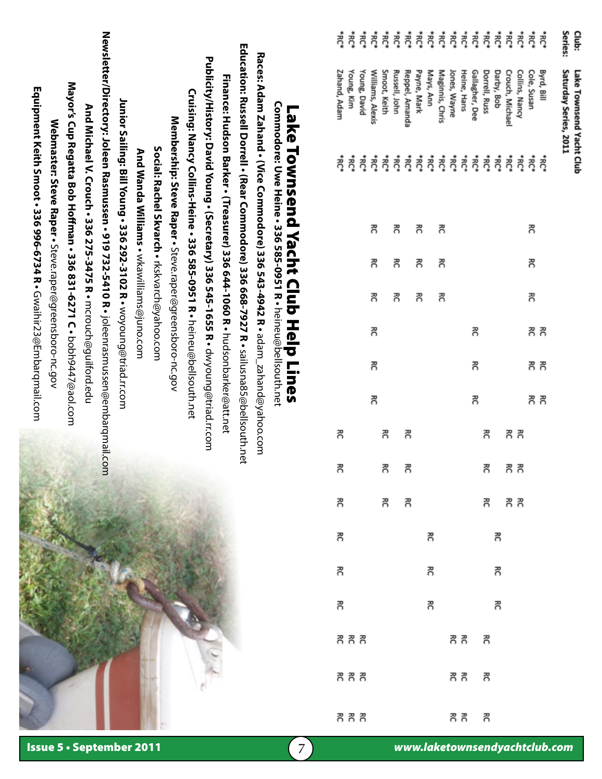| Club:                | Lake Townsend Yacht Club        |                      |    |    |    |       |       |       |       |       |       |    |    |    |      |       |         |
|----------------------|---------------------------------|----------------------|----|----|----|-------|-------|-------|-------|-------|-------|----|----|----|------|-------|---------|
| Series:              | Saturday Series, 2011           |                      |    |    |    |       |       |       |       |       |       |    |    |    |      |       |         |
|                      | Byrd, Bill                      |                      |    |    |    |       |       |       |       |       |       |    |    |    |      |       |         |
| ******************** | Cole, Susan                     | ಕ್ಷೆ ಕೈ              | 5  | 콩  | 콩  | గౌ గౌ | గౌ గౌ | గౌ గౌ |       |       |       |    |    |    |      |       |         |
|                      | Collins, Nancy                  |                      |    |    |    |       |       |       |       |       |       |    |    |    |      |       |         |
|                      | Crouch, Michael                 |                      |    |    |    |       |       |       | గౌ గౌ | గౌ గౌ |       |    |    |    |      |       |         |
|                      | Darby, Bob                      |                      |    |    |    |       |       |       |       |       | 8 R R | గౌ | గౌ | 콩  |      |       |         |
|                      |                                 |                      |    |    |    |       |       |       | గౌ    | గె    |       |    |    |    |      | గౌ    | గె      |
|                      | Dorrell, Russ<br>Gallagher, Dee |                      |    |    |    | 5     | గె    | ႙     |       |       |       |    |    |    | គ គគ |       |         |
|                      | Heine, Hans                     |                      |    |    |    |       |       |       |       |       |       |    |    |    |      | గౌ గౌ | గౌ గౌ   |
|                      |                                 |                      |    |    |    |       |       |       |       |       |       |    |    |    |      |       |         |
|                      | Jones, Wayne<br>Maginnis, Chris |                      | గౌ | గె | గె |       |       |       |       |       |       |    |    |    |      |       |         |
|                      |                                 |                      |    |    |    |       |       |       |       |       |       | గౌ | గౌ | 콩  |      |       |         |
|                      | Mays, Ann<br>Payne, Mark        |                      | 콩  | 콩  | 콩  |       |       |       |       |       |       |    |    |    |      |       |         |
|                      |                                 | ******************** |    |    |    |       |       |       | గౌ    | ె     |       |    |    |    |      |       |         |
|                      | Reppel, Amanda<br>Russell, John |                      | గౌ | గె | సె |       |       |       |       |       | ె     |    |    |    |      |       |         |
|                      | Smoot, Keith                    |                      |    |    |    |       |       |       | 콩     | గౌ    | గౌ    |    |    |    |      |       |         |
|                      | Williams, Alexis                |                      | గౌ | 콩  | 콩  | ႙     | 콩     | ξ     |       |       |       |    |    |    |      |       |         |
|                      | Young, David                    |                      |    |    |    |       |       |       |       |       |       |    |    |    |      |       |         |
|                      | Young, Kim                      |                      |    |    |    |       |       |       |       |       |       |    |    |    | いち ろ | R R R | م یو یو |
|                      | Zahand, Adam                    |                      |    |    |    |       |       |       | ႙     | 종     | 콩     | గౌ | ႙  | గౌ |      |       |         |

# **Commodore: Uwe Heine • 336 585-0951 R •**  Lake Townsend Yacht Club Help Lines Lake Townsend Yacht Club Help Lines

Commodore: Uwe Heine • 336 585-0951 R • heineu@bellsouth.net

heineu@bellsouth.net

Newsletter/Directory: Joleen Rasmussen • 919 732-5410 R • joleenrasmussen@embarqmail.com **Newsletter/Directory: Joleen Rasmussen • 919 732-5410 R •** joleenrasmussen@embarqmail.com **Education: Russell Dorrell • (Rear Commodore) 336 668-7927 R •** sailusna85@bellsouth.net **Education: Russell Dorrell • (Rear Commodore) 336 668-7927 R •** Races: Adam Zahand • (Vice Commodore) 336 543-4942 R • adam  $_2$ zahand@yahoo.com **Races: Adam Zahand • (Vice Commodore) 336 543-4942 R •** Publicity/History: David Young • (Secretary) 336 545-1655 R • dwyoung@triad.rr.com **Publicity/History: David Young • (Secretary) 336 545-1655 R •** Finance: Hudson Barker • (Treasurer) 336 644-1060 R • hudsonbarker@att.net **Finance: Hudson Barker • (Treasurer) 336 644-1060 R •** Mayor's Cup Regatta Bob Hoffman • 336 831-6271 C • <code>bobh9447@aol.com</code> **Mayor's Cup Regatta Bob Hoffman • 336 831-6271 C •** Equipment Keith Smoot • 336 996-6734 R • Gwaihir23@Embarqmail.com **Equipment Keith Smoot • 336 996-6734 R •** Cruising: Nancy Collins-Heine • 336 585-0951 R • heineu@bellsouth.net **Cruising: Nancy Collins-Heine • 336 585-0951 R •** Junior Sailing: Bill Young • 336 292-3102 R • woyoung@triad.r.com **Junior Sailing: Bill Young • 336 292-3102 R •** And Michael V. Crouch • 336 275-3475 R • mcrouch@guilford.edu **And Michael V. Crouch • 336 275-3475 R •** Membership: Steve Raper • Steve.raper@greensboro-nc.gov **Membership: Steve Raper •** Webmaster: Steve Raper • Steve.raper@greensboro-nc.gov **Webmaster: Steve Raper •** Social: Rachel Skvarch . rkskvarch@yahoo.com **Social: Rachel Skvarch •** And Wanda Williams • wkawilliams@juno.com **And Wanda Williams •** Steve.raper@greensboro-nc.gov Steve.raper@greensboro-nc.gov wkawilliams@juno.com rkskvarch@yahoo.com Gwaihir23@Embarqmail.com mcrouch@guilford.edu woyoung@triad.rr.com heineu@bellsouth.net hudsonbarker@att.net adam\_zahand@yahoo.com bobh9447@aol.com dwyoung@triad.rr.com sailusna85@bellsouth.net

Issue 5 • September 2011

7 *www.laketownsendyachtclub.com*